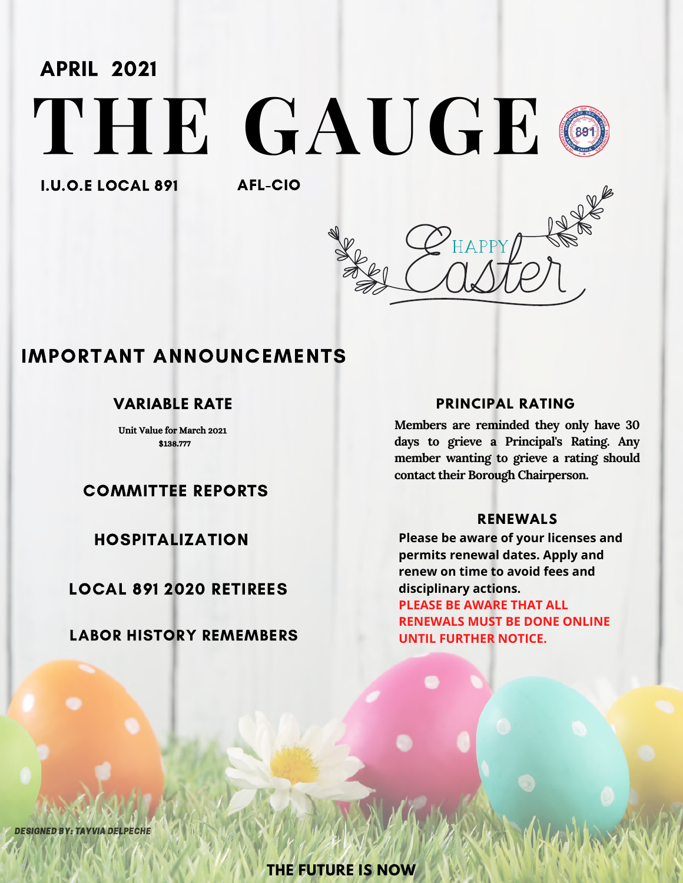# **THE GAUGE** APRIL 2021

I.U.O.E LOCAL 891 AFL-CIO



### IMPORTANT ANNOUNCEMENTS

#### **VARIABLE RATE**

Unit Value for March 2021 \$138.777

COMMITTEE REPORTS

HOSPITALIZATION

LOCAL 891 2020 RETIREES

LABOR HISTORY REMEMBERS

#### **PRINCIPAL RATING**

**Members are reminded they only have 30 days to grieve a Principal's Rating. Any member wanting to grieve a rating should contact their Borough Chairperson.**

#### **RENEWALS**

**Please be aware of your licenses and permits renewal dates. Apply and renew on time to avoid fees and disciplinary actions. PLEASE BE AWARE THAT ALL RENEWALS MUST BE DONE ONLINE UNTIL FURTHER NOTICE.**

DESIGNED BY: TAYVIA DELPECHE

**THE FUTURE IS NOW**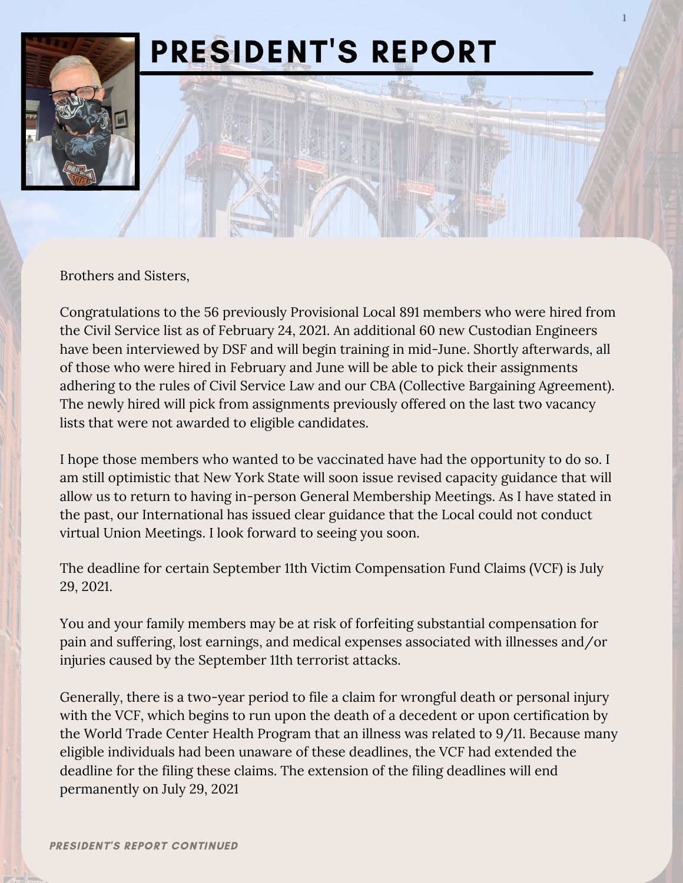# PRESIDENT'S REPORT

**1**



Brothers and Sisters,

Congratulations to the 56 previously Provisional Local 891 members who were hired from the Civil Service list as of February 24, 2021. An additional 60 new Custodian Engineers have been interviewed by DSF and will begin training in mid-June. Shortly afterwards, all of those who were hired in February and June will be able to pick their assignments adhering to the rules of Civil Service Law and our CBA (Collective Bargaining Agreement). The newly hired will pick from assignments previously offered on the last two vacancy lists that were not awarded to eligible candidates.

I hope those members who wanted to be vaccinated have had the opportunity to do so. I am still optimistic that New York State will soon issue revised capacity guidance that will allow us to return to having in-person General Membership Meetings. As I have stated in the past, our International has issued clear guidance that the Local could not conduct virtual Union Meetings. I look forward to seeing you soon.

The deadline for certain September 11th Victim Compensation Fund Claims (VCF) is July 29, 2021.

You and your family members may be at risk of forfeiting substantial compensation for pain and suffering, lost earnings, and medical expenses associated with illnesses and/or injuries caused by the September 11th terrorist attacks.

Generally, there is a two-year period to file a claim for wrongful death or personal injury with the VCF, which begins to run upon the death of a decedent or upon certification by the World Trade Center Health Program that an illness was related to 9/11. Because many eligible individuals had been unaware of these deadlines, the VCF had extended the deadline for the filing these claims. The extension of the filing deadlines will end permanently on July 29, 2021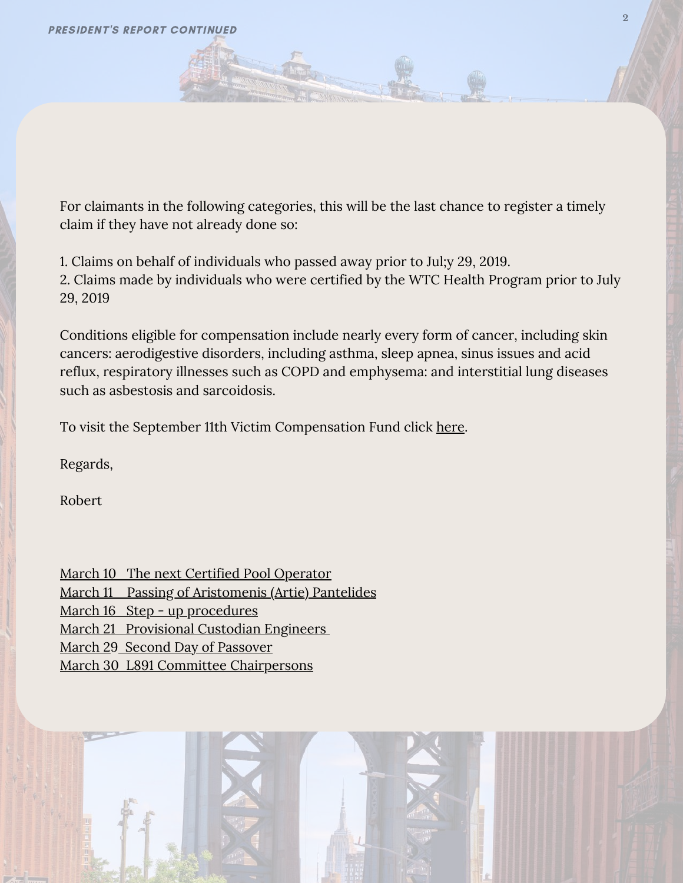For claimants in the following categories, this will be the last chance to register a timely claim if they have not already done so:

**2**

1. Claims on behalf of individuals who passed away prior to Jul;y 29, 2019. 2. Claims made by individuals who were certified by the WTC Health Program prior to July 29, 2019

Conditions eligible for compensation include nearly every form of cancer, including skin cancers: aerodigestive disorders, including asthma, sleep apnea, sinus issues and acid reflux, respiratory illnesses such as COPD and emphysema: and interstitial lung diseases such as asbestosis and sarcoidosis.

To visit the September 11th Victim Compensation Fund click [here.](https://www.vcf.gov/)

Regards,

Robert

[March](https://myemail.constantcontact.com/Next-Certified-Pool-Operator-Course.html?soid=1124028352516&aid=ZeMlh_oyJSY) 1[0](https://myemail.constantcontact.com/Next-Certified-Pool-Operator-Course.html?soid=1124028352516&aid=ZeMlh_oyJSY) The next Certified Pool [Operator](https://myemail.constantcontact.com/Next-Certified-Pool-Operator-Course.html?soid=1124028352516&aid=ZeMlh_oyJSY) [March](https://myemail.constantcontact.com/Passing-of-Retired-Member-Aristomenis--Artie--Pantelides.html?soid=1124028352516&aid=2nprj--2oYY) 1[1](https://myemail.constantcontact.com/Passing-of-Retired-Member-Aristomenis--Artie--Pantelides.html?soid=1124028352516&aid=2nprj--2oYY) Passing of [Aristomenis](https://myemail.constantcontact.com/Passing-of-Retired-Member-Aristomenis--Artie--Pantelides.html?soid=1124028352516&aid=2nprj--2oYY) (Artie) Pantelides [March](https://myemail.constantcontact.com/Step-up-procedures---Transfer-List-Will-Be-Out-Soon.html?soid=1124028352516&aid=rl8NMzVatPw) 16 Step - up [procedures](https://myemail.constantcontact.com/Step-up-procedures---Transfer-List-Will-Be-Out-Soon.html?soid=1124028352516&aid=rl8NMzVatPw) [March](https://myemail.constantcontact.com/Provisional-Custodian-Engineers-do-not-go-out-on-Vacancy-List.html?soid=1124028352516&aid=-12NF8BE0Cc) 21 [Provisional](https://myemail.constantcontact.com/Provisional-Custodian-Engineers-do-not-go-out-on-Vacancy-List.html?soid=1124028352516&aid=-12NF8BE0Cc) Custodian Engineers [March](https://myemail.constantcontact.com/Monday--March-29--2021-is-the-Second-Day-of-Passover-and-a-paid-Holiday-.html?soid=1124028352516&aid=I4g5c8TSOg0) 29 Second Day of [Passover](https://myemail.constantcontact.com/Monday--March-29--2021-is-the-Second-Day-of-Passover-and-a-paid-Holiday-.html?soid=1124028352516&aid=I4g5c8TSOg0) March 30 L891 Committee Chairpersons

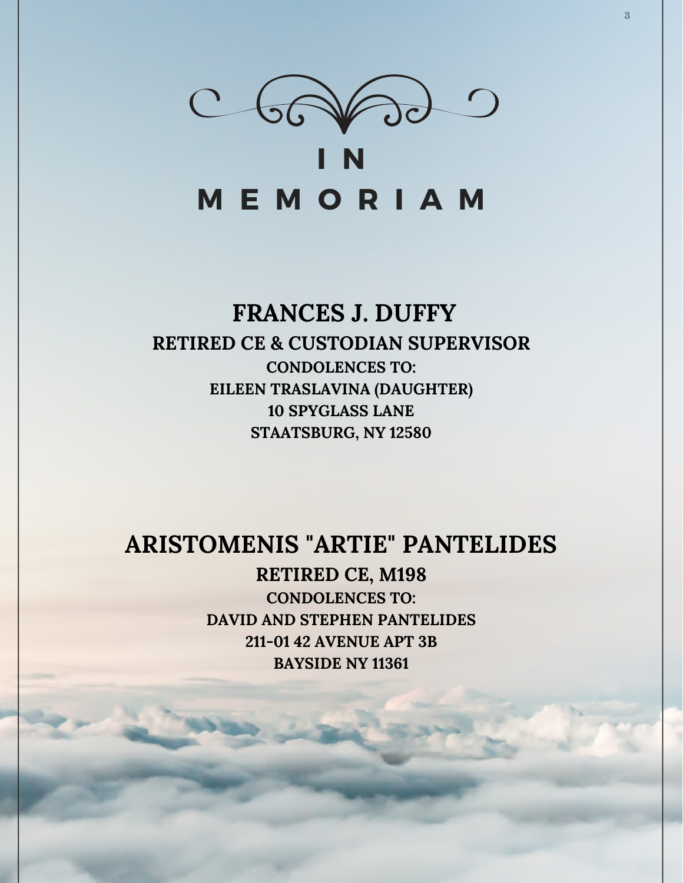

# **M E M O R I A M**

### **FRANCES J. DUFFY**

**RETIRED CE & CUSTODIAN SUPERVISOR CONDOLENCES TO: EILEEN TRASLAVINA (DAUGHTER) 10 SPYGLASS LANE STAATSBURG, NY 12580**

### **ARISTOMENIS "ARTIE" PANTELIDES**

**RETIRED CE, M198 CONDOLENCES TO: DAVID AND STEPHEN PANTELIDES 211-01 42 AVENUE APT 3B BAYSIDE NY 11361**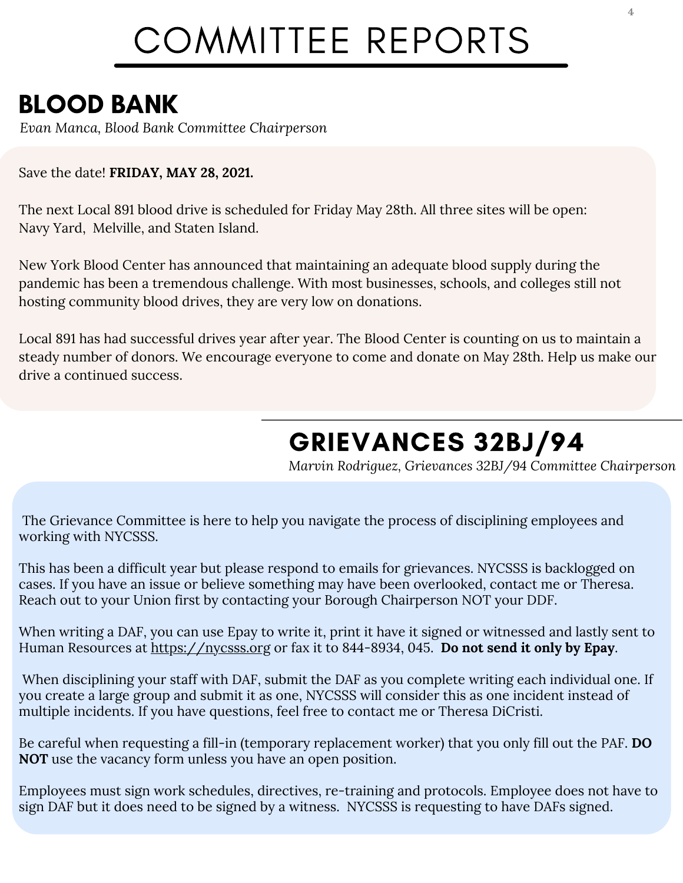# COMMITTEE REPORTS

### BLOOD BANK

*Evan Manca, Blood Bank Committee Chairperson*

Save the date! **FRIDAY, MAY 28, 2021.**

The next Local 891 blood drive is scheduled for Friday May 28th. All three sites will be open: Navy Yard, Melville, and Staten Island.

New York Blood Center has announced that maintaining an adequate blood supply during the pandemic has been a tremendous challenge. With most businesses, schools, and colleges still not hosting community blood drives, they are very low on donations.

Local 891 has had successful drives year after year. The Blood Center is counting on us to maintain a steady number of donors. We encourage everyone to come and donate on May 28th. Help us make our drive a continued success.

### GRIEVANCES 32BJ/94

*Marvin Rodriguez, Grievances 32BJ/94 Committee Chairperson*

The Grievance Committee is here to help you navigate the process of disciplining employees and working with NYCSSS.

This has been a difficult year but please respond to emails for grievances. NYCSSS is backlogged on cases. If you have an issue or believe something may have been overlooked, contact me or Theresa. Reach out to your Union first by contacting your Borough Chairperson NOT your DDF.

When writing a DAF, you can use Epay to write it, print it have it signed or witnessed and lastly sent to Human Resources at [https://nycsss.org](https://nycsss.org/) or fax it to 844-8934, 045. **Do not send it only by Epay**.

When disciplining your staff with DAF, submit the DAF as you complete writing each individual one. If you create a large group and submit it as one, NYCSSS will consider this as one incident instead of multiple incidents. If you have questions, feel free to contact me or Theresa DiCristi.

Be careful when requesting a fill-in (temporary replacement worker) that you only fill out the PAF. **DO NOT** use the vacancy form unless you have an open position.

Employees must sign work schedules, directives, re-training and protocols. Employee does not have to sign DAF but it does need to be signed by a witness. NYCSSS is requesting to have DAFs signed.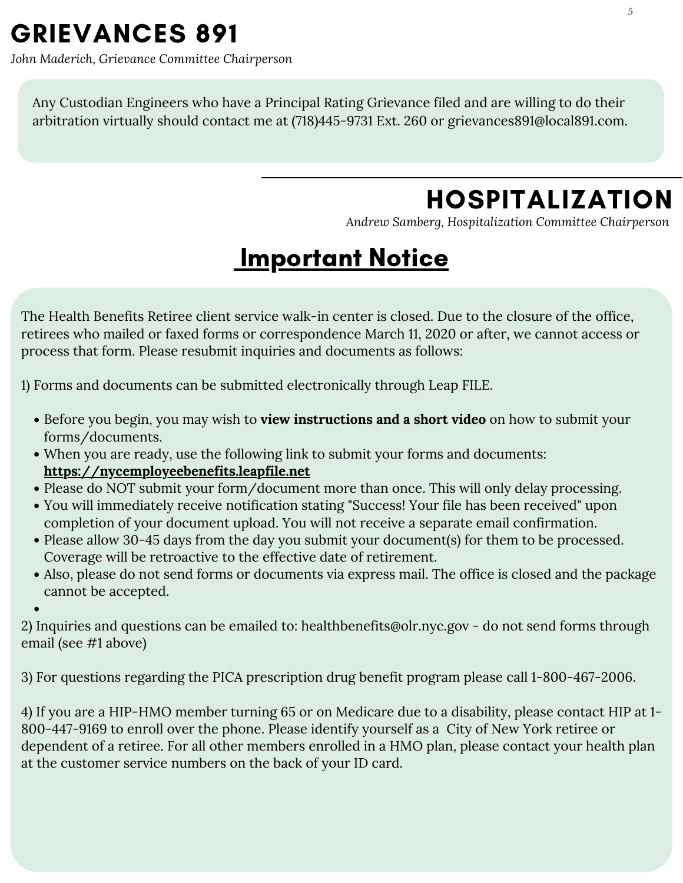### GRIEVANCES 891

*John Maderich, Grievance Committee Chairperson*

Any Custodian Engineers who have a Principal Rating Grievance filed and are willing to do their arbitration virtually should contact me at (718)445-9731 Ext. 260 or grievances891@local891.com.

### HOSPITALIZATION

*Andrew Samberg, Hospitalization Committee Chairperson*

### Important Notice

The Health Benefits Retiree client service walk-in center is closed. Due to the closure of the office, retirees who mailed or faxed forms or correspondence March 11, 2020 or after, we cannot access or process that form. Please resubmit inquiries and documents as follows:

1) Forms and documents can be submitted electronically through Leap FILE.

- Before you begin, you may wish to **view [instructions](https://www1.nyc.gov/site/olr/health/retiree/health-retiree-leapfile-instructions.page) and ashort video** on how to submit your forms/documents.
- When you are ready, use the following link to submit your forms and documents: **[https://nycemployeebenefits.leapfile.net](https://nycemployeebenefits.leapfile.net/)**
- Please do NOT submit your form/document more than once. This will only delay processing.
- You will immediately receive notification stating "Success! Your file has been received" upon completion of your document upload. You will not receive a separate email confirmation.
- Please allow 30-45 days from the day you submit your document(s) for them to be processed. Coverage will be retroactive to the effective date of retirement.
- Also, please do not send forms or documents via express mail. The office is closed and the package cannot be accepted.

2) Inquiries and questions can be emailed to: [healthbenefits@olr.nyc.gov](mailto:healthbenefits@olr.nyc.gov) - do not send forms through email (see #1 above)

3) For questions regarding the PICA prescription drug benefit program please call 1-800-467-2006.

4) If you are a HIP-HMO member turning 65 or on Medicare due to a disability, please contact HIP at 1-800-447-9169 to enroll over the phone. Please identify yourself as a City of New York retiree or dependent of a retiree. For all other members enrolled in a HMO plan, please contact your health plan at the customer service numbers on the back of your ID card.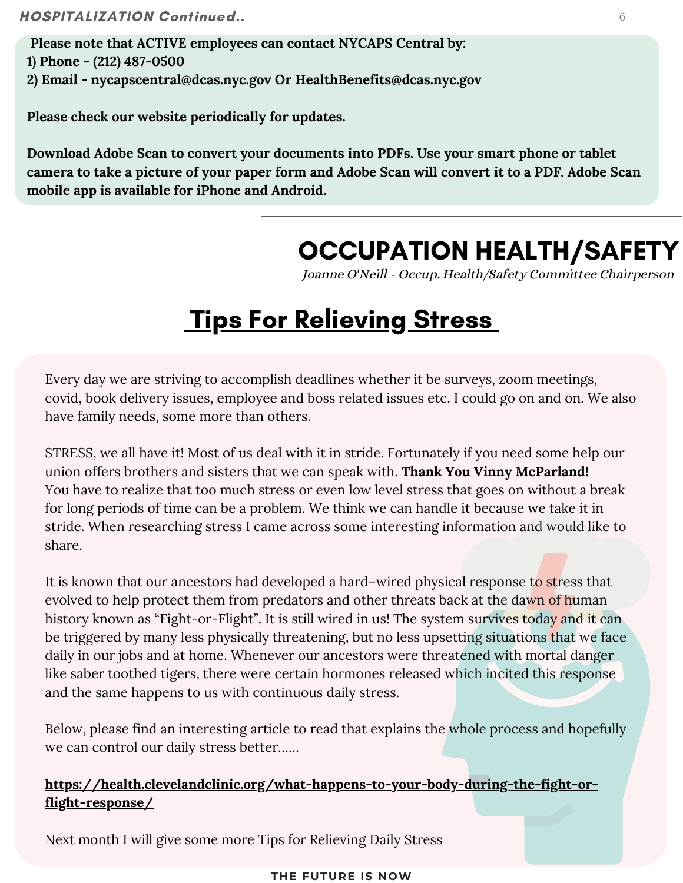**Please note that ACTIVE employees can contact NYCAPS Central by: 1) Phone - (212) 487-0500 2) Email - [nycapscentral@dcas.nyc.gov](mailto:nycapscentral@dcas.nyc.gov) Or [HealthBenefits@dcas.nyc.gov](mailto:HealthBenefits@dcas.nyc.gov)**

**Please check our website periodically for updates.**

**Download [Adobe](https://acrobat.adobe.com/us/en/mobile/scanner-app.html) Scan to convert your documents into PDFs. Use your smart phone or tablet** camera to take a picture of your paper form and Adobe Scan will convert it to a PDF. Adobe Scan **mobile app is available for iPhone and Android.**

### OCCUPATION HEALTH/SAFETY

Joanne O'Neill - Occup. Health/Safety Committee Chairperson

### **Tips For Relieving Stress**

Every day we are striving to accomplish deadlines whether it be surveys, zoom meetings, covid, book delivery issues, employee and boss related issues etc. I could go on and on. We also have family needs, some more than others.

STRESS, we all have it! Most of us deal with it in stride. Fortunately if you need some help our union offers brothers and sisters that we can speak with. **Thank You Vinny McParland!** You have to realize that too much stress or even low level stress that goes on without a break for long periods of time can be a problem. We think we can handle it because we take it in stride. When researching stress I came across some interesting information and would like to share.

It is known that our ancestors had developed a hard–wired physical response to stress that evolved to help protect them from predators and other threats back at the dawn of human history known as "Fight-or-Flight". It is still wired in us! The system survives today and it can be triggered by many less physically threatening, but no less upsetting situations that we face daily in our jobs and at home. Whenever our ancestors were threatened with mortal danger like saber toothed tigers, there were certain hormones released which incited this response and the same happens to us with continuous daily stress.

Below, please find an interesting article to read that explains the whole process and hopefully we can control our daily stress better……

#### **[https://health.clevelandclinic.org/what-happens-to-your-body-during-the-fight-or](https://health.clevelandclinic.org/what-happens-to-your-body-during-the-fight-or-flight-response/)flight-response/**

Next month I will give some more Tips for Relieving Daily Stress

#### **THE FUTURE IS NOW**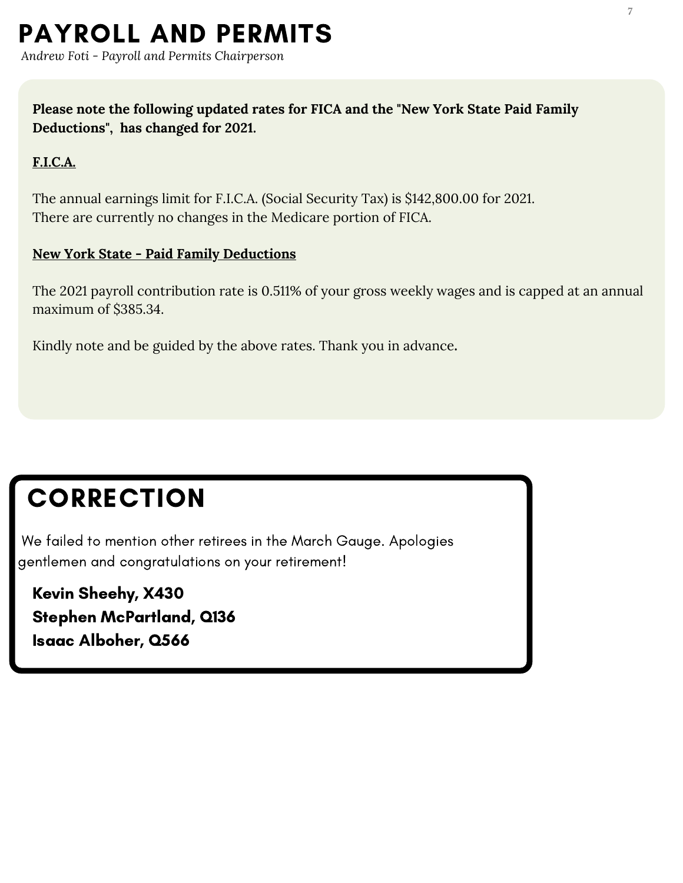## PAYROLL AND PERMITS

*Andrew Foti - Payroll and Permits Chairperson*

**Please note the following updated rates for FICA and the "New York State Paid Family Deductions", has changed for 2021.**

#### **F.I.C.A.**

The annual earnings limit for F.I.C.A. (Social Security Tax) is \$142,800.00 for 2021. There are currently no changes in the Medicare portion of FICA.

#### **New York State - Paid Family Deductions**

The 2021 payroll contribution rate is 0.511% of your gross weekly wages and is capped at an annual maximum of \$385.34.

Kindly note and be guided by the above rates. Thank you in advance**.**

### **CORRECTION**

We failed to mention other retirees in the March Gauge. Apologies gentlemen and congratulations on your retirement!

Kevin Sheehy, X430 Stephen McPartland, Q136 Isaac Alboher, Q566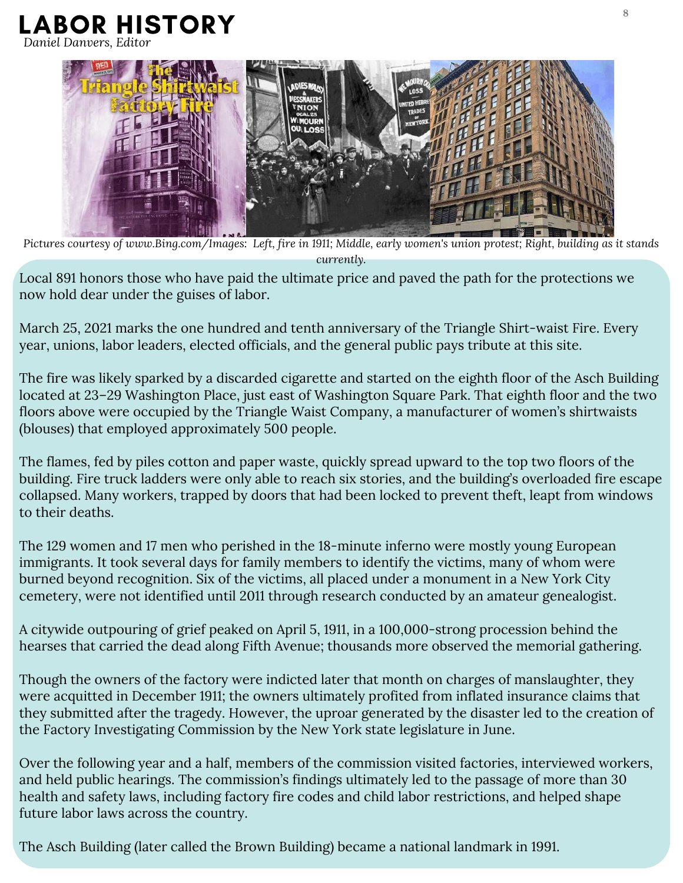### **ABOR HISTORY**

*Daniel Danvers, Editor*



Pictures courtesy of www.Bing.com/Images: Left, fire in 1911; Middle, early women's union protest; Right, building as it stands *currently.*

Local 891 honors those who have paid the ultimate price and paved the path for the protections we now hold dear under the guises of labor.

March 25, 2021 marks the one hundred and tenth anniversary of the Triangle Shirt-waist Fire. Every year, unions, labor leaders, elected officials, and the general public pays tribute at this site.

The fire was likely sparked by a discarded cigarette and started on the eighth floor of the Asch Building located at 23–29 Washington Place, just east of Washington Square Park. That eighth floor and the two floors above were occupied by the Triangle Waist Company, a manufacturer of women's shirtwaists (blouses) that employed approximately 500 people.

The flames, fed by piles cotton and paper waste, quickly spread upward to the top two floors of the building. Fire truck ladders were only able to reach six stories, and the building's overloaded fire [escape](https://www.britannica.com/technology/fire-escape) collapsed. Many workers, trapped by doors that had been locked to prevent theft, leapt from windows to their deaths.

The 129 women and 17 men who perished in the 18-minute inferno were mostly young European immigrants. It took several days for family members to identify the victims, many of whom were burned beyond recognition. Six of the victims, all placed under a monument in a New York City cemetery, were not identified until 2011 through research conducted by an amateur genealogist.

A citywide outpouring of grief peaked on April 5, 1911, in a 100,000-strong procession behind the hearses that carried the dead along Fifth Avenue; thousands more observed the memorial gathering.

Though the owners of the factory were indicted later that month on charges of [manslaughter,](https://www.britannica.com/topic/manslaughter) they were acquitted in December 1911; the owners ultimately profited from inflated insurance claims that they submitted after the tragedy. However, the uproar generated by the disaster led to the creation of the Factory Investigating Commission by the New York state legislature in June.

Over the following year and a half, members of the commission visited factories, interviewed workers, and held public hearings. The commission's findings ultimately led to the passage of more than 30 [health](https://www.britannica.com/topic/health-and-safety-law) and safety laws, including factory fire codes and child [labor](https://www.britannica.com/topic/child-labour) restrictions, and helped shape future [labor](https://www.britannica.com/topic/labour-law) laws across the country.

The Asch Building (later called the Brown Building) became a national landmark in 1991.